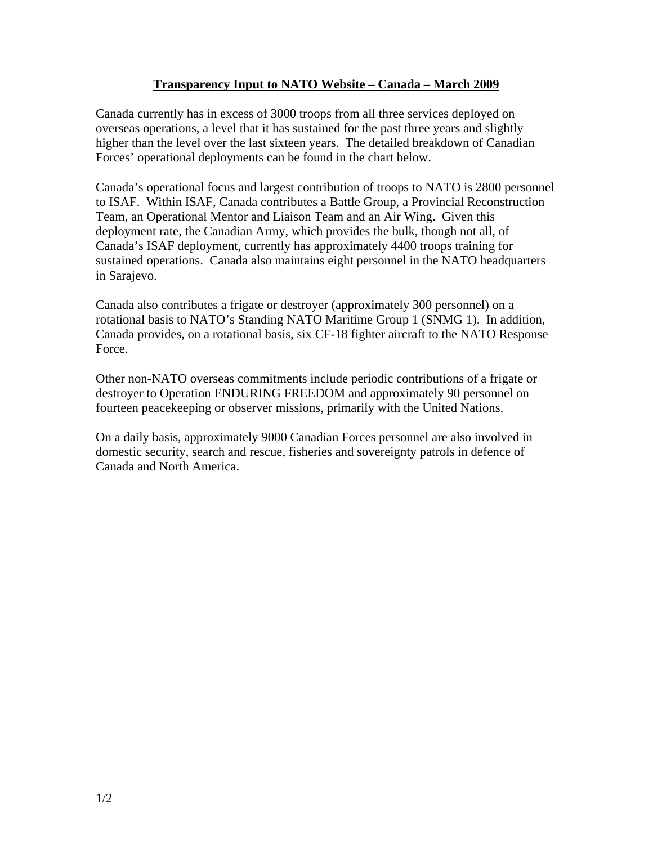## **Transparency Input to NATO Website – Canada – March 2009**

Canada currently has in excess of 3000 troops from all three services deployed on overseas operations, a level that it has sustained for the past three years and slightly higher than the level over the last sixteen years. The detailed breakdown of Canadian Forces' operational deployments can be found in the chart below.

Canada's operational focus and largest contribution of troops to NATO is 2800 personnel to ISAF. Within ISAF, Canada contributes a Battle Group, a Provincial Reconstruction Team, an Operational Mentor and Liaison Team and an Air Wing. Given this deployment rate, the Canadian Army, which provides the bulk, though not all, of Canada's ISAF deployment, currently has approximately 4400 troops training for sustained operations. Canada also maintains eight personnel in the NATO headquarters in Sarajevo.

Canada also contributes a frigate or destroyer (approximately 300 personnel) on a rotational basis to NATO's Standing NATO Maritime Group 1 (SNMG 1). In addition, Canada provides, on a rotational basis, six CF-18 fighter aircraft to the NATO Response Force.

Other non-NATO overseas commitments include periodic contributions of a frigate or destroyer to Operation ENDURING FREEDOM and approximately 90 personnel on fourteen peacekeeping or observer missions, primarily with the United Nations.

On a daily basis, approximately 9000 Canadian Forces personnel are also involved in domestic security, search and rescue, fisheries and sovereignty patrols in defence of Canada and North America.